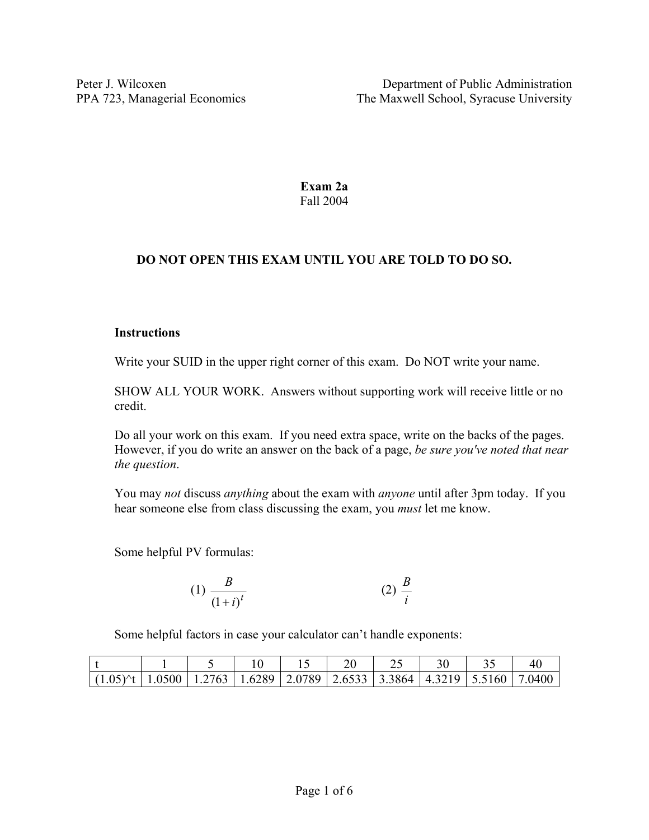**Exam 2a**  Fall 2004

# **DO NOT OPEN THIS EXAM UNTIL YOU ARE TOLD TO DO SO.**

### **Instructions**

Write your SUID in the upper right corner of this exam. Do NOT write your name.

SHOW ALL YOUR WORK. Answers without supporting work will receive little or no credit.

Do all your work on this exam. If you need extra space, write on the backs of the pages. However, if you do write an answer on the back of a page, *be sure you've noted that near the question*.

You may *not* discuss *anything* about the exam with *anyone* until after 3pm today. If you hear someone else from class discussing the exam, you *must* let me know.

Some helpful PV formulas:

(1) 
$$
\frac{B}{(1+i)^t}
$$
 (2)  $\frac{B}{i}$ 

Some helpful factors in case your calculator can't handle exponents:

| $(1.05)^{+}$   1.0500   1.2763   1.6289   2.0789   2.6533   3.3864   4.3219   5.5160   7.0400 |  |  |  |  |  |
|-----------------------------------------------------------------------------------------------|--|--|--|--|--|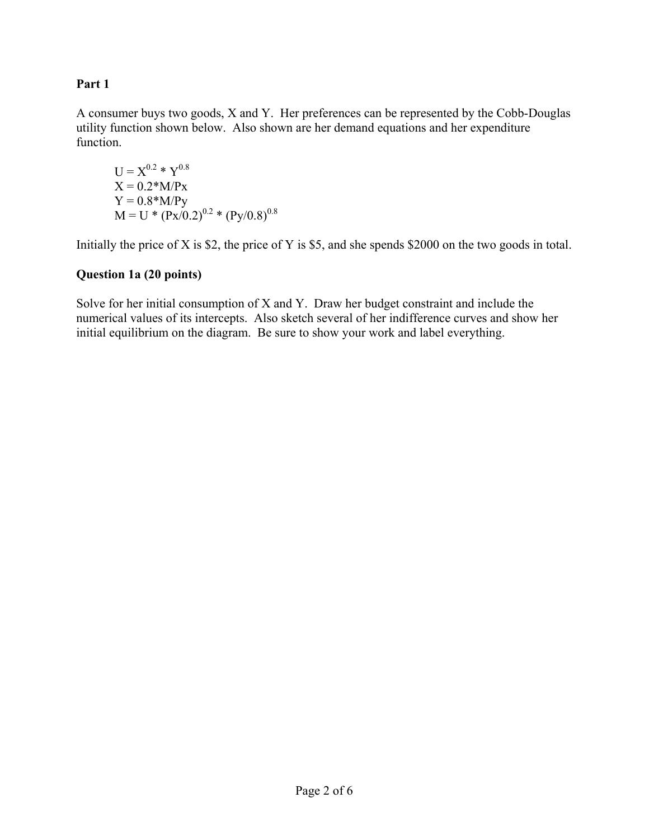## **Part 1**

A consumer buys two goods, X and Y. Her preferences can be represented by the Cobb-Douglas utility function shown below. Also shown are her demand equations and her expenditure function.

$$
U = X^{0.2} * Y^{0.8}
$$
  
\n
$$
X = 0.2 * M/Px
$$
  
\n
$$
Y = 0.8 * M/Py
$$
  
\n
$$
M = U * (Px/0.2)^{0.2} * (Py/0.8)^{0.8}
$$

Initially the price of X is \$2, the price of Y is \$5, and she spends \$2000 on the two goods in total.

### **Question 1a (20 points)**

Solve for her initial consumption of X and Y. Draw her budget constraint and include the numerical values of its intercepts. Also sketch several of her indifference curves and show her initial equilibrium on the diagram. Be sure to show your work and label everything.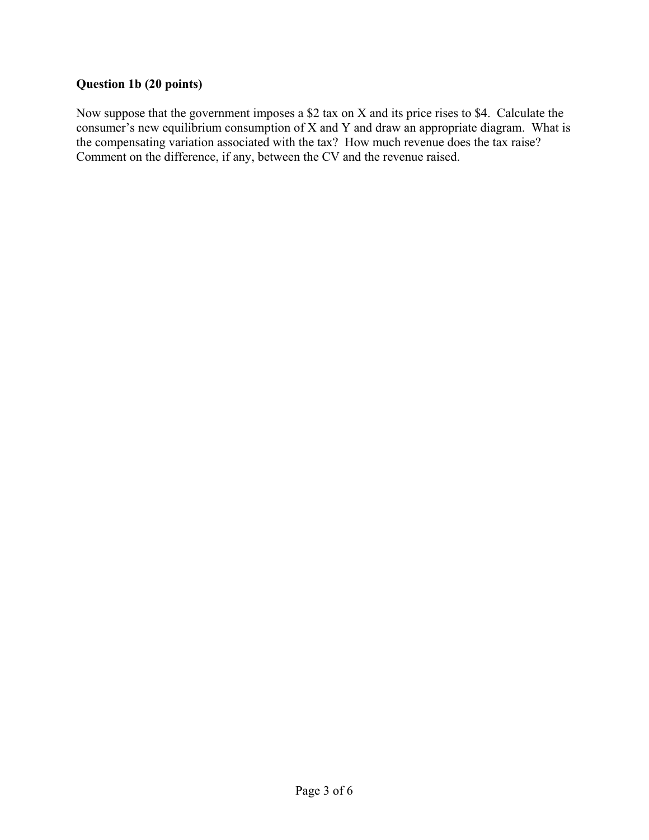## **Question 1b (20 points)**

Now suppose that the government imposes a \$2 tax on X and its price rises to \$4. Calculate the consumer's new equilibrium consumption of X and Y and draw an appropriate diagram. What is the compensating variation associated with the tax? How much revenue does the tax raise? Comment on the difference, if any, between the CV and the revenue raised.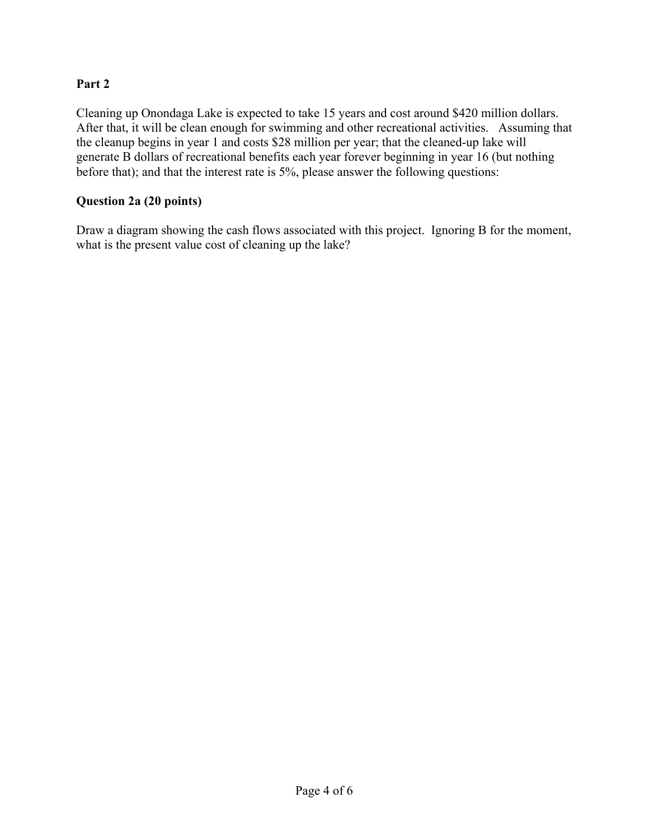## **Part 2**

Cleaning up Onondaga Lake is expected to take 15 years and cost around \$420 million dollars. After that, it will be clean enough for swimming and other recreational activities. Assuming that the cleanup begins in year 1 and costs \$28 million per year; that the cleaned-up lake will generate B dollars of recreational benefits each year forever beginning in year 16 (but nothing before that); and that the interest rate is 5%, please answer the following questions:

### **Question 2a (20 points)**

Draw a diagram showing the cash flows associated with this project. Ignoring B for the moment, what is the present value cost of cleaning up the lake?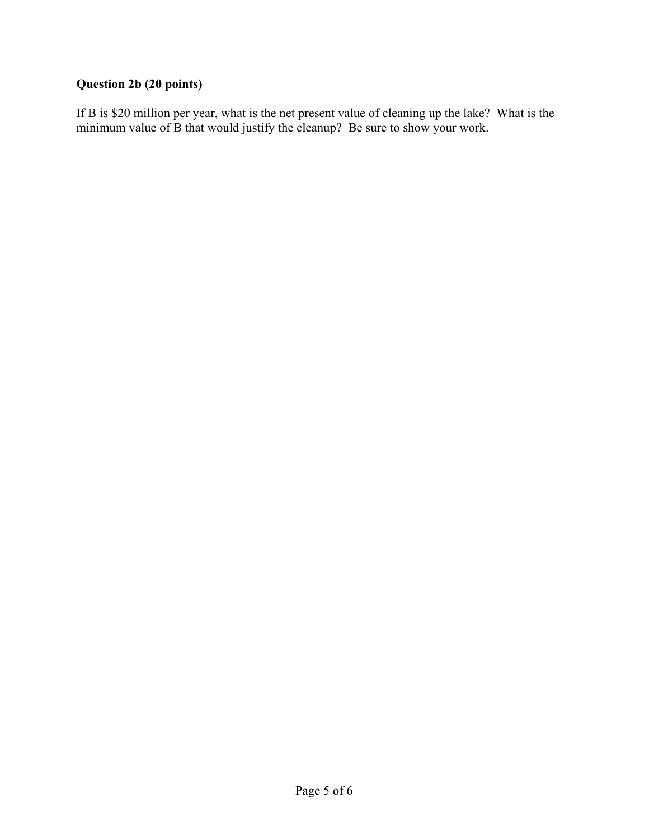## **Question 2b (20 points)**

If B is \$20 million per year, what is the net present value of cleaning up the lake? What is the minimum value of B that would justify the cleanup? Be sure to show your work.